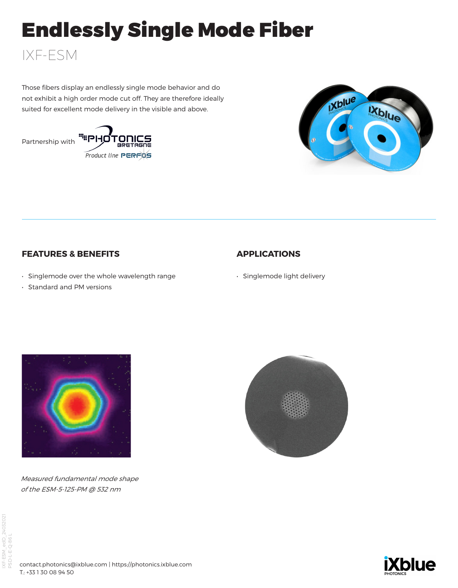# Endlessly Single Mode Fiber

# IXF-ESM

Those fibers display an endlessly single mode behavior and do not exhibit a high order mode cut off. They are therefore ideally suited for excellent mode delivery in the visible and above.





## **FEATURES & BENEFITS**

- Singlemode over the whole wavelength range
- Standard and PM versions

### **APPLICATIONS**

• Singlemode light delivery



Measured fundamental mode shape of the ESM-5-125-PM @ 532 nm

IXF-ESM\_edD\_24032021 PSD-L-E-Q-86 L